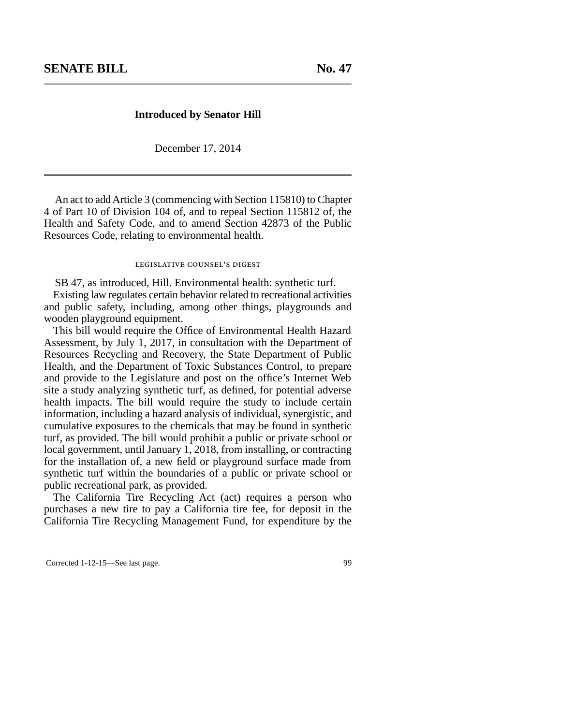## **Introduced by Senator Hill**

December 17, 2014

An act to add Article 3 (commencing with Section 115810) to Chapter 4 of Part 10 of Division 104 of, and to repeal Section 115812 of, the Health and Safety Code, and to amend Section 42873 of the Public Resources Code, relating to environmental health.

## legislative counsel's digest

SB 47, as introduced, Hill. Environmental health: synthetic turf.

Existing law regulates certain behavior related to recreational activities and public safety, including, among other things, playgrounds and wooden playground equipment.

This bill would require the Office of Environmental Health Hazard Assessment, by July 1, 2017, in consultation with the Department of Resources Recycling and Recovery, the State Department of Public Health, and the Department of Toxic Substances Control, to prepare and provide to the Legislature and post on the office's Internet Web site a study analyzing synthetic turf, as defined, for potential adverse health impacts. The bill would require the study to include certain information, including a hazard analysis of individual, synergistic, and cumulative exposures to the chemicals that may be found in synthetic turf, as provided. The bill would prohibit a public or private school or local government, until January 1, 2018, from installing, or contracting for the installation of, a new field or playground surface made from synthetic turf within the boundaries of a public or private school or public recreational park, as provided.

The California Tire Recycling Act (act) requires a person who purchases a new tire to pay a California tire fee, for deposit in the California Tire Recycling Management Fund, for expenditure by the

Corrected 1-12-15—See last page. 99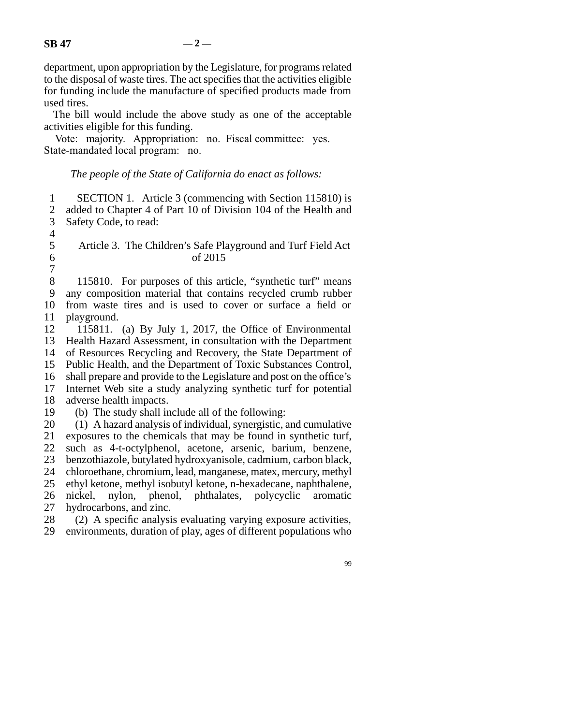department, upon appropriation by the Legislature, for programs related to the disposal of waste tires. The act specifies that the activities eligible for funding include the manufacture of specified products made from used tires.

The bill would include the above study as one of the acceptable activities eligible for this funding.

Vote: majority. Appropriation: no. Fiscal committee: yes. State-mandated local program: no.

## *The people of the State of California do enact as follows:*

| $\mathbf{1}$   | SECTION 1. Article 3 (commencing with Section 115810) is                |
|----------------|-------------------------------------------------------------------------|
| $\overline{2}$ | added to Chapter 4 of Part 10 of Division 104 of the Health and         |
| 3              | Safety Code, to read:                                                   |
| $\overline{4}$ |                                                                         |
| 5              | Article 3. The Children's Safe Playground and Turf Field Act            |
| 6              | of 2015                                                                 |
| 7              |                                                                         |
| 8              | 115810. For purposes of this article, "synthetic turf" means            |
| 9              | any composition material that contains recycled crumb rubber            |
| 10             | from waste tires and is used to cover or surface a field or             |
| 11             | playground.                                                             |
| 12             | 115811. (a) By July 1, 2017, the Office of Environmental                |
| 13             | Health Hazard Assessment, in consultation with the Department           |
| 14             | of Resources Recycling and Recovery, the State Department of            |
| 15             | Public Health, and the Department of Toxic Substances Control,          |
| 16             | shall prepare and provide to the Legislature and post on the office's   |
| 17             | Internet Web site a study analyzing synthetic turf for potential        |
| 18             | adverse health impacts.                                                 |
| 19             | (b) The study shall include all of the following:                       |
| 20             | (1) A hazard analysis of individual, synergistic, and cumulative        |
| 21             | exposures to the chemicals that may be found in synthetic turf,         |
| 22             | such as 4-t-octylphenol, acetone, arsenic, barium, benzene,             |
| 23             | benzothiazole, butylated hydroxyanisole, cadmium, carbon black,         |
| 24             | chloroethane, chromium, lead, manganese, matex, mercury, methyl         |
| 25             | ethyl ketone, methyl isobutyl ketone, n-hexadecane, naphthalene,        |
| 26             | nylon, phenol, phthalates, polycyclic<br>nickel,<br>aromatic            |
| 27             | hydrocarbons, and zinc.                                                 |
| 28             | $(2)$ $\Delta$ specific analysis evaluating varying exposure activities |

28 (2) A specific analysis evaluating varying exposure activities, 29 environments, duration of play, ages of different populations who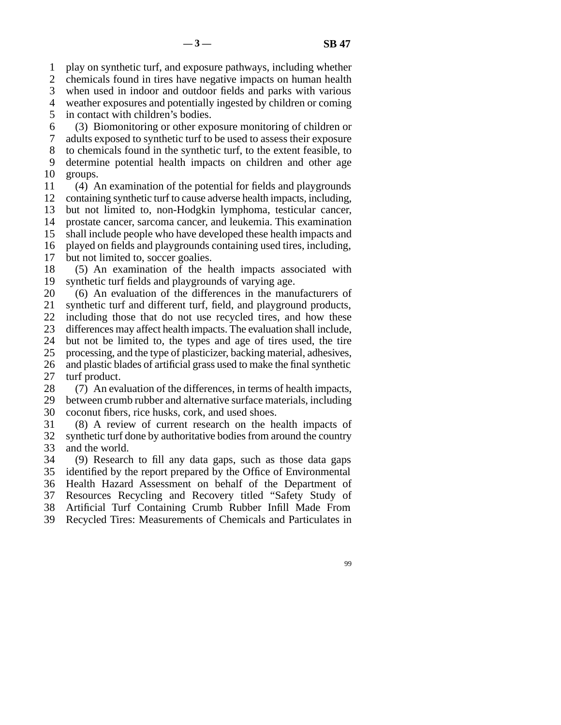line 1 play on synthetic turf, and exposure pathways, including whether

2 chemicals found in tires have negative impacts on human health

3 when used in indoor and outdoor fields and parks with various

4 weather exposures and potentially ingested by children or coming

5 in contact with children's bodies.

line 6 (3) Biomonitoring or other exposure monitoring of children or

line 7 adults exposed to synthetic turf to be used to assess their exposure

8 to chemicals found in the synthetic turf, to the extent feasible, to 9 determine potential health impacts on children and other age

10 groups.

11 (4) An examination of the potential for fields and playgrounds 12 containing synthetic turf to cause adverse health impacts, including,

13 but not limited to, non-Hodgkin lymphoma, testicular cancer,

14 prostate cancer, sarcoma cancer, and leukemia. This examination

15 shall include people who have developed these health impacts and

16 played on fields and playgrounds containing used tires, including,

17 but not limited to, soccer goalies.

18 (5) An examination of the health impacts associated with 19 synthetic turf fields and playgrounds of varying age.

20 (6) An evaluation of the differences in the manufacturers of

21 synthetic turf and different turf, field, and playground products,

22 including those that do not use recycled tires, and how these

23 differences may affect health impacts. The evaluation shall include,

24 but not be limited to, the types and age of tires used, the tire 25 processing, and the type of plasticizer, backing material, adhesives,

processing, and the type of plasticizer, backing material, adhesives,

26 and plastic blades of artificial grass used to make the final synthetic 27 turf product.

28 (7) An evaluation of the differences, in terms of health impacts,

29 between crumb rubber and alternative surface materials, including 30 coconut fibers, rice husks, cork, and used shoes.

31 (8) A review of current research on the health impacts of 32 synthetic turf done by authoritative bodies from around the country 33 and the world.

34 (9) Research to fill any data gaps, such as those data gaps 35 identified by the report prepared by the Office of Environmental 36 Health Hazard Assessment on behalf of the Department of 37 Resources Recycling and Recovery titled "Safety Study of

38 Artificial Turf Containing Crumb Rubber Infill Made From

39 Recycled Tires: Measurements of Chemicals and Particulates in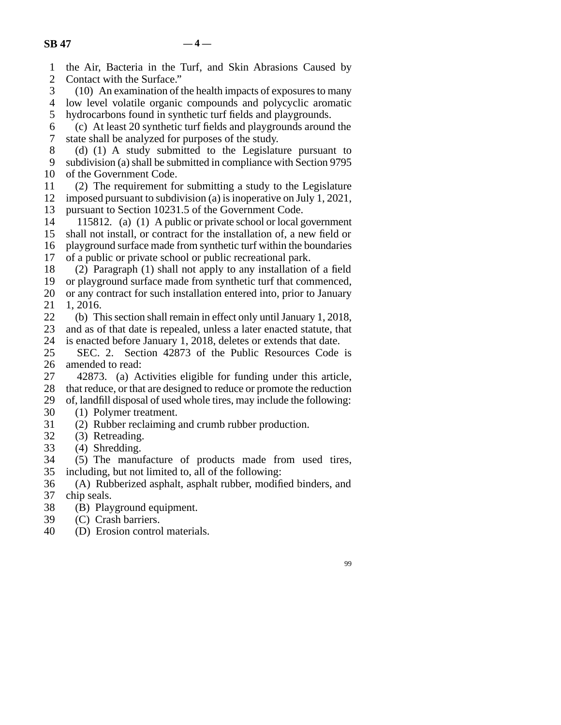line 1 the Air, Bacteria in the Turf, and Skin Abrasions Caused by

| $\overline{\mathbf{c}}$ | Contact with the Surface."                                             |
|-------------------------|------------------------------------------------------------------------|
| 3                       | (10) An examination of the health impacts of exposures to many         |
| $\overline{4}$          | low level volatile organic compounds and polycyclic aromatic           |
| 5                       | hydrocarbons found in synthetic turf fields and playgrounds.           |
| 6                       | (c) At least 20 synthetic turf fields and playgrounds around the       |
| 7                       | state shall be analyzed for purposes of the study.                     |
| 8                       | (d) (1) A study submitted to the Legislature pursuant to               |
| 9                       | subdivision (a) shall be submitted in compliance with Section 9795     |
| 10                      | of the Government Code.                                                |
| 11                      | (2) The requirement for submitting a study to the Legislature          |
| 12                      | imposed pursuant to subdivision (a) is inoperative on July 1, 2021,    |
| 13                      | pursuant to Section 10231.5 of the Government Code.                    |
| 14                      | 115812. (a) (1) A public or private school or local government         |
| 15                      | shall not install, or contract for the installation of, a new field or |
| 16                      | playground surface made from synthetic turf within the boundaries      |
| 17                      | of a public or private school or public recreational park.             |
| 18                      | (2) Paragraph (1) shall not apply to any installation of a field       |
| 19                      | or playground surface made from synthetic turf that commenced,         |
| 20                      | or any contract for such installation entered into, prior to January   |
| 21                      | 1, 2016.                                                               |
| 22                      | (b) This section shall remain in effect only until January 1, 2018,    |
| 23                      | and as of that date is repealed, unless a later enacted statute, that  |
| 24                      | is enacted before January 1, 2018, deletes or extends that date.       |
| 25                      | SEC. 2. Section 42873 of the Public Resources Code is                  |
| 26                      | amended to read:                                                       |
| 27                      | 42873. (a) Activities eligible for funding under this article,         |
| 28                      | that reduce, or that are designed to reduce or promote the reduction   |
| 29                      | of, landfill disposal of used whole tires, may include the following:  |
| 30                      | (1) Polymer treatment.                                                 |
| 31                      | (2) Rubber reclaiming and crumb rubber production.                     |
| 32                      | (3) Retreading.                                                        |
| 33                      | (4) Shredding.                                                         |
| 34                      | (5) The manufacture of products made from used tires,                  |
| 35                      | including, but not limited to, all of the following:                   |
| 36                      | (A) Rubberized asphalt, asphalt rubber, modified binders, and          |
| 37                      | chip seals.                                                            |
| 38                      | (B) Playground equipment.                                              |
| 39                      | (C) Crash barriers.                                                    |
| 40                      | (D) Erosion control materials.                                         |
|                         |                                                                        |
|                         | 99                                                                     |
|                         |                                                                        |
|                         |                                                                        |